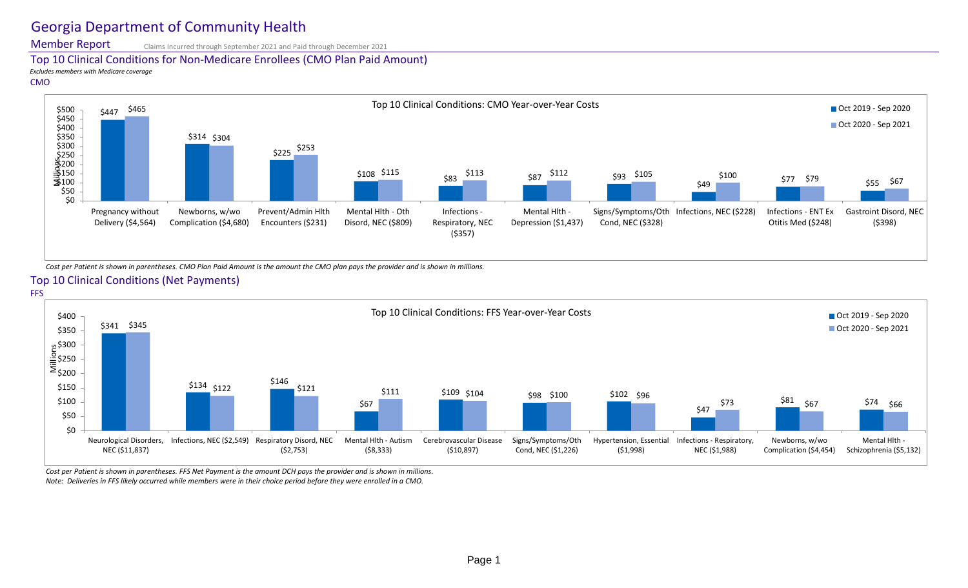## Georgia Department of Community Health

Top 10 Clinical Conditions for Non-Medicare Enrollees (CMO Plan Paid Amount)

*Cost per Patient is shown in parentheses. CMO Plan Paid Amount is the amount the CMO plan pays the provider and is shown in millions.* Top 10 Clinical Conditions (Net Payments)

Member Report Claims Incurred through September 2021 and Paid through December 2021

*Excludes members with Medicare coverage* CMO

*Note: Deliveries in FFS likely occurred while members were in their choice period before they were enrolled in a CMO.*